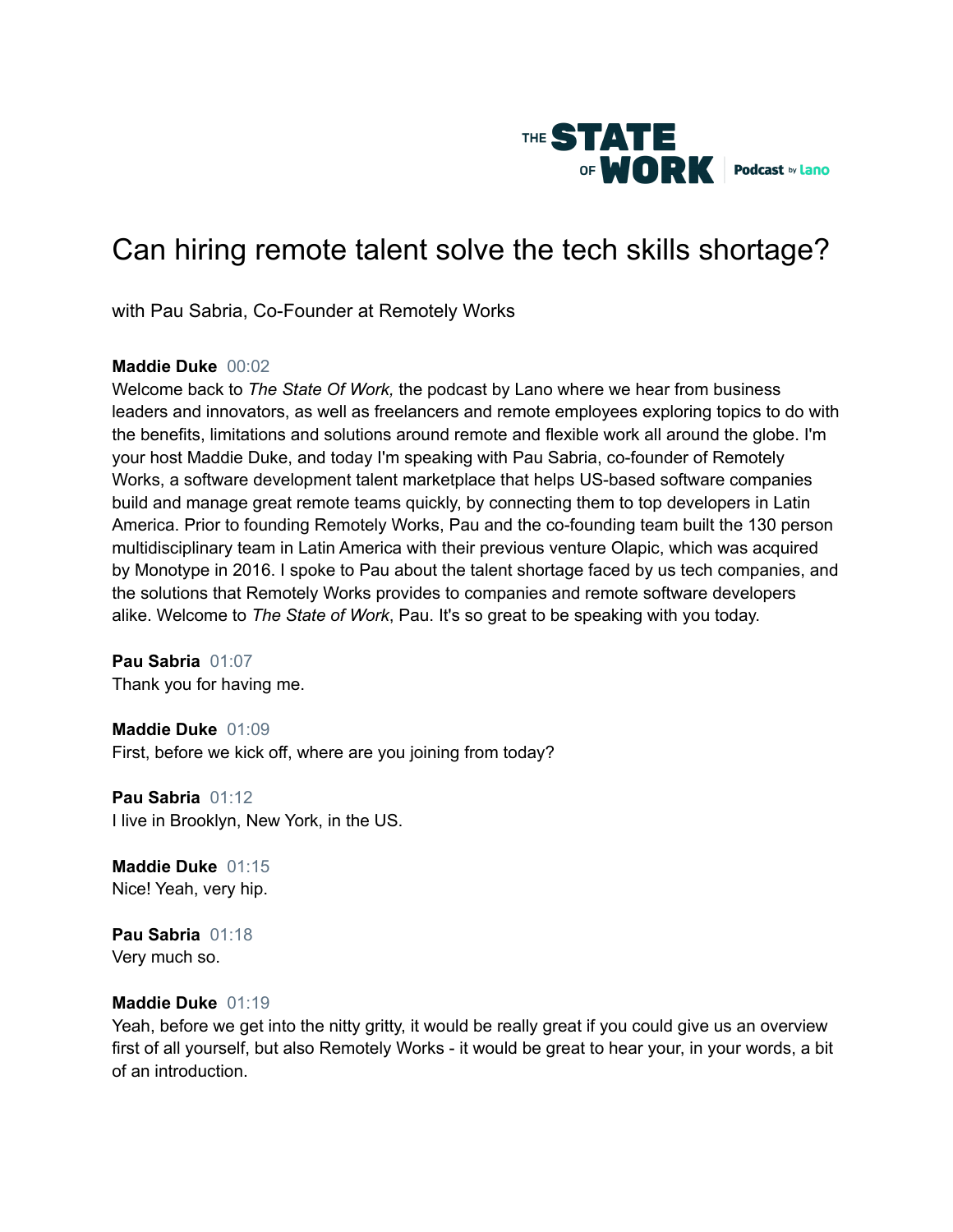

# Can hiring remote talent solve the tech skills shortage?

with Pau Sabria, Co-Founder at Remotely Works

# **Maddie Duke** 00:02

Welcome back to *The State Of Work,* the podcast by Lano where we hear from business leaders and innovators, as well as freelancers and remote employees exploring topics to do with the benefits, limitations and solutions around remote and flexible work all around the globe. I'm your host Maddie Duke, and today I'm speaking with Pau Sabria, co-founder of Remotely Works, a software development talent marketplace that helps US-based software companies build and manage great remote teams quickly, by connecting them to top developers in Latin America. Prior to founding Remotely Works, Pau and the co-founding team built the 130 person multidisciplinary team in Latin America with their previous venture Olapic, which was acquired by Monotype in 2016. I spoke to Pau about the talent shortage faced by us tech companies, and the solutions that Remotely Works provides to companies and remote software developers alike. Welcome to *The State of Work*, Pau. It's so great to be speaking with you today.

**Pau Sabria** 01:07 Thank you for having me.

**Maddie Duke** 01:09 First, before we kick off, where are you joining from today?

**Pau Sabria** 01:12 I live in Brooklyn, New York, in the US.

**Maddie Duke** 01:15 Nice! Yeah, very hip.

**Pau Sabria** 01:18 Very much so.

#### **Maddie Duke** 01:19

Yeah, before we get into the nitty gritty, it would be really great if you could give us an overview first of all yourself, but also Remotely Works - it would be great to hear your, in your words, a bit of an introduction.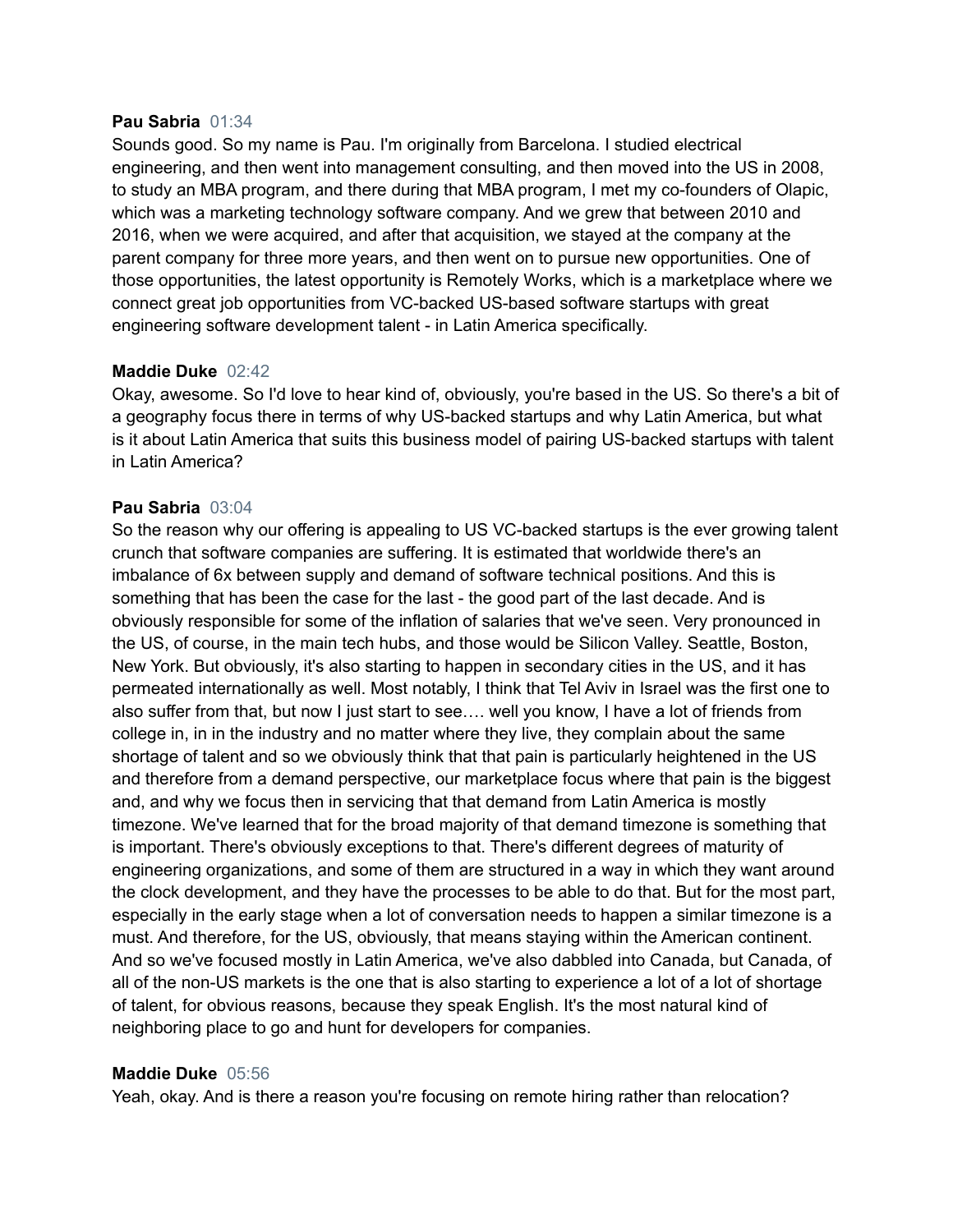#### **Pau Sabria** 01:34

Sounds good. So my name is Pau. I'm originally from Barcelona. I studied electrical engineering, and then went into management consulting, and then moved into the US in 2008, to study an MBA program, and there during that MBA program, I met my co-founders of Olapic, which was a marketing technology software company. And we grew that between 2010 and 2016, when we were acquired, and after that acquisition, we stayed at the company at the parent company for three more years, and then went on to pursue new opportunities. One of those opportunities, the latest opportunity is Remotely Works, which is a marketplace where we connect great job opportunities from VC-backed US-based software startups with great engineering software development talent - in Latin America specifically.

#### **Maddie Duke** 02:42

Okay, awesome. So I'd love to hear kind of, obviously, you're based in the US. So there's a bit of a geography focus there in terms of why US-backed startups and why Latin America, but what is it about Latin America that suits this business model of pairing US-backed startups with talent in Latin America?

#### **Pau Sabria** 03:04

So the reason why our offering is appealing to US VC-backed startups is the ever growing talent crunch that software companies are suffering. It is estimated that worldwide there's an imbalance of 6x between supply and demand of software technical positions. And this is something that has been the case for the last - the good part of the last decade. And is obviously responsible for some of the inflation of salaries that we've seen. Very pronounced in the US, of course, in the main tech hubs, and those would be Silicon Valley. Seattle, Boston, New York. But obviously, it's also starting to happen in secondary cities in the US, and it has permeated internationally as well. Most notably, I think that Tel Aviv in Israel was the first one to also suffer from that, but now I just start to see…. well you know, I have a lot of friends from college in, in in the industry and no matter where they live, they complain about the same shortage of talent and so we obviously think that that pain is particularly heightened in the US and therefore from a demand perspective, our marketplace focus where that pain is the biggest and, and why we focus then in servicing that that demand from Latin America is mostly timezone. We've learned that for the broad majority of that demand timezone is something that is important. There's obviously exceptions to that. There's different degrees of maturity of engineering organizations, and some of them are structured in a way in which they want around the clock development, and they have the processes to be able to do that. But for the most part, especially in the early stage when a lot of conversation needs to happen a similar timezone is a must. And therefore, for the US, obviously, that means staying within the American continent. And so we've focused mostly in Latin America, we've also dabbled into Canada, but Canada, of all of the non-US markets is the one that is also starting to experience a lot of a lot of shortage of talent, for obvious reasons, because they speak English. It's the most natural kind of neighboring place to go and hunt for developers for companies.

#### **Maddie Duke** 05:56

Yeah, okay. And is there a reason you're focusing on remote hiring rather than relocation?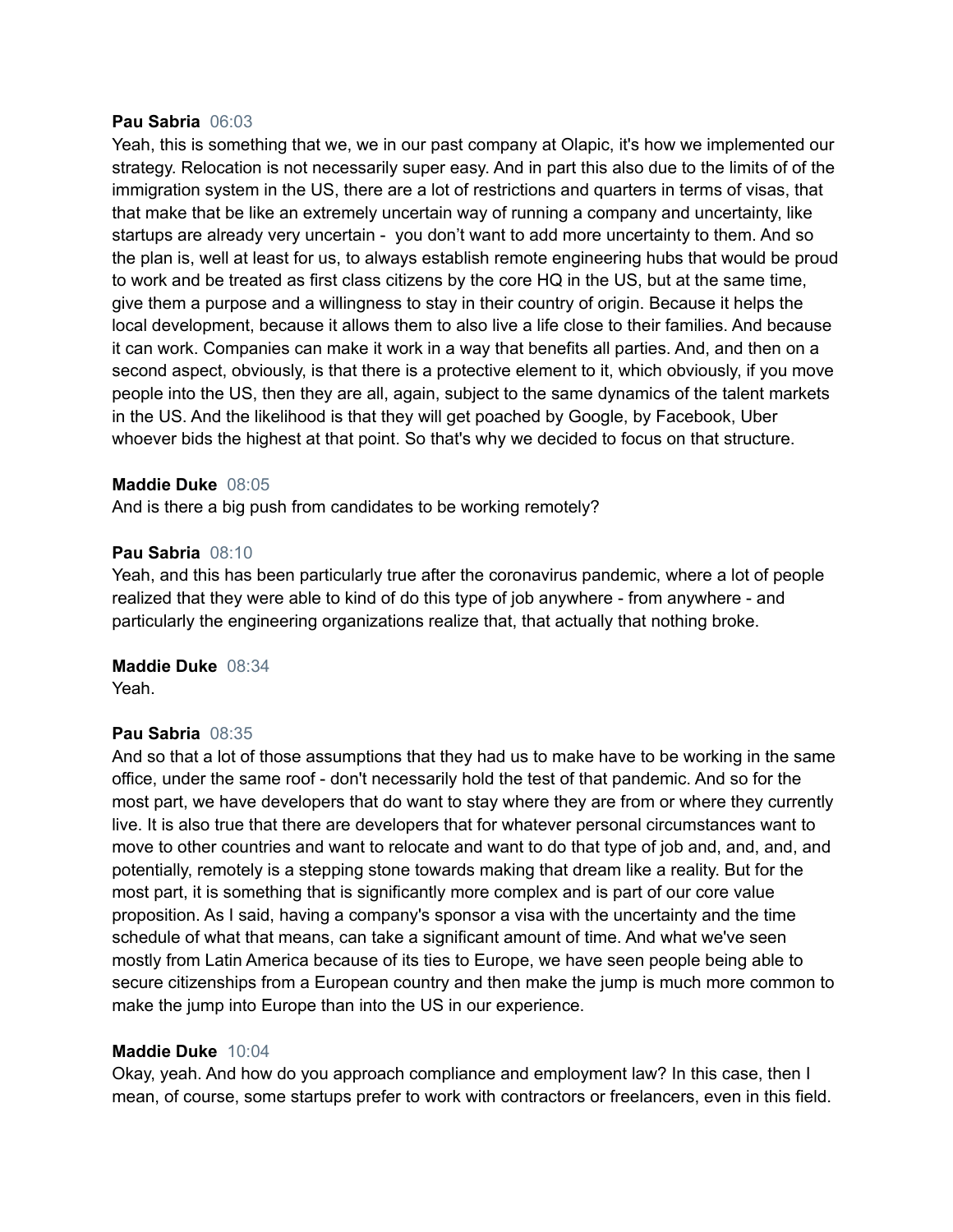#### **Pau Sabria** 06:03

Yeah, this is something that we, we in our past company at Olapic, it's how we implemented our strategy. Relocation is not necessarily super easy. And in part this also due to the limits of of the immigration system in the US, there are a lot of restrictions and quarters in terms of visas, that that make that be like an extremely uncertain way of running a company and uncertainty, like startups are already very uncertain - you don't want to add more uncertainty to them. And so the plan is, well at least for us, to always establish remote engineering hubs that would be proud to work and be treated as first class citizens by the core HQ in the US, but at the same time, give them a purpose and a willingness to stay in their country of origin. Because it helps the local development, because it allows them to also live a life close to their families. And because it can work. Companies can make it work in a way that benefits all parties. And, and then on a second aspect, obviously, is that there is a protective element to it, which obviously, if you move people into the US, then they are all, again, subject to the same dynamics of the talent markets in the US. And the likelihood is that they will get poached by Google, by Facebook, Uber whoever bids the highest at that point. So that's why we decided to focus on that structure.

#### **Maddie Duke** 08:05

And is there a big push from candidates to be working remotely?

#### **Pau Sabria** 08:10

Yeah, and this has been particularly true after the coronavirus pandemic, where a lot of people realized that they were able to kind of do this type of job anywhere - from anywhere - and particularly the engineering organizations realize that, that actually that nothing broke.

**Maddie Duke** 08:34 Yeah.

#### **Pau Sabria** 08:35

And so that a lot of those assumptions that they had us to make have to be working in the same office, under the same roof - don't necessarily hold the test of that pandemic. And so for the most part, we have developers that do want to stay where they are from or where they currently live. It is also true that there are developers that for whatever personal circumstances want to move to other countries and want to relocate and want to do that type of job and, and, and, and potentially, remotely is a stepping stone towards making that dream like a reality. But for the most part, it is something that is significantly more complex and is part of our core value proposition. As I said, having a company's sponsor a visa with the uncertainty and the time schedule of what that means, can take a significant amount of time. And what we've seen mostly from Latin America because of its ties to Europe, we have seen people being able to secure citizenships from a European country and then make the jump is much more common to make the jump into Europe than into the US in our experience.

#### **Maddie Duke** 10:04

Okay, yeah. And how do you approach compliance and employment law? In this case, then I mean, of course, some startups prefer to work with contractors or freelancers, even in this field.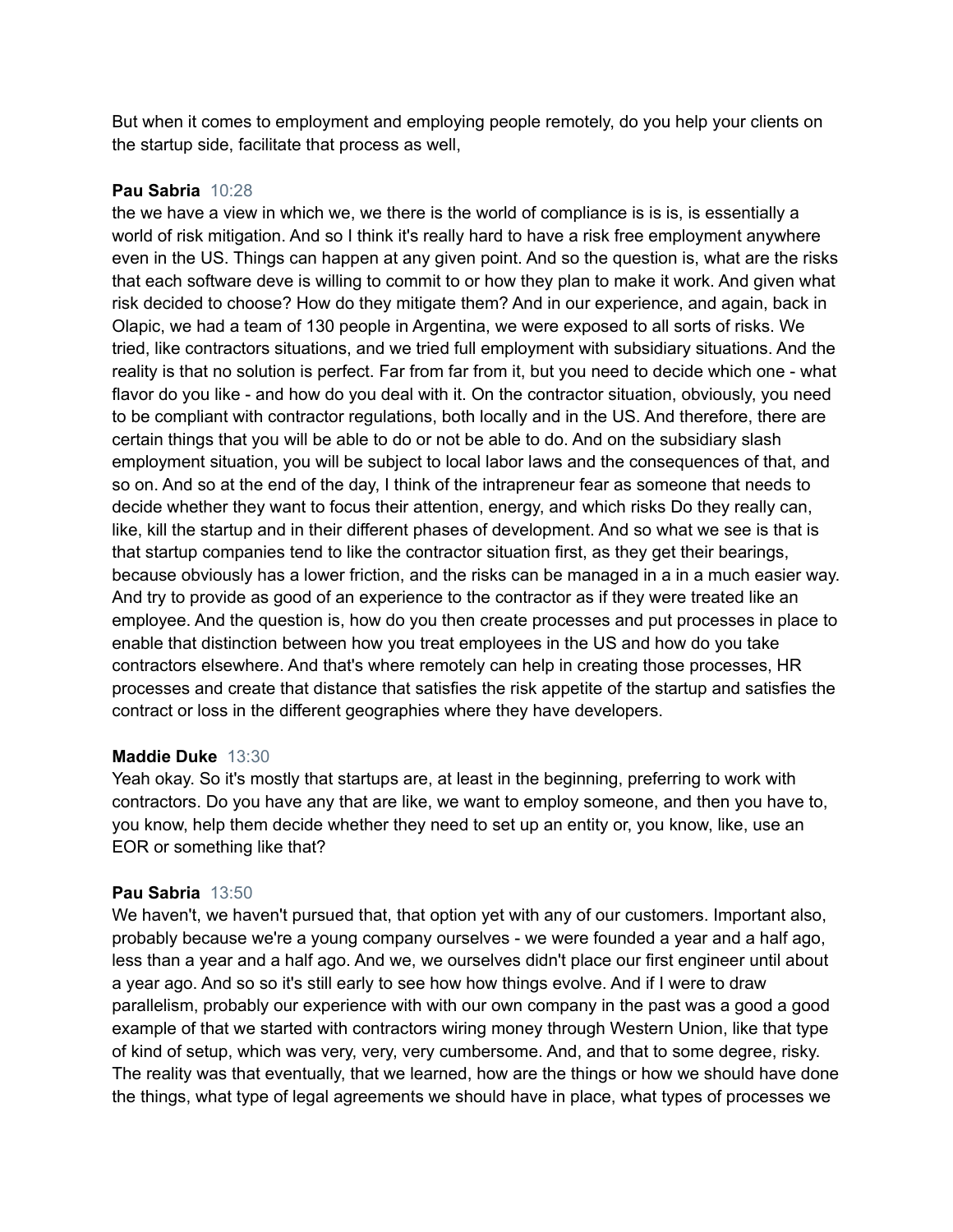But when it comes to employment and employing people remotely, do you help your clients on the startup side, facilitate that process as well,

# **Pau Sabria** 10:28

the we have a view in which we, we there is the world of compliance is is is, is essentially a world of risk mitigation. And so I think it's really hard to have a risk free employment anywhere even in the US. Things can happen at any given point. And so the question is, what are the risks that each software deve is willing to commit to or how they plan to make it work. And given what risk decided to choose? How do they mitigate them? And in our experience, and again, back in Olapic, we had a team of 130 people in Argentina, we were exposed to all sorts of risks. We tried, like contractors situations, and we tried full employment with subsidiary situations. And the reality is that no solution is perfect. Far from far from it, but you need to decide which one - what flavor do you like - and how do you deal with it. On the contractor situation, obviously, you need to be compliant with contractor regulations, both locally and in the US. And therefore, there are certain things that you will be able to do or not be able to do. And on the subsidiary slash employment situation, you will be subject to local labor laws and the consequences of that, and so on. And so at the end of the day, I think of the intrapreneur fear as someone that needs to decide whether they want to focus their attention, energy, and which risks Do they really can, like, kill the startup and in their different phases of development. And so what we see is that is that startup companies tend to like the contractor situation first, as they get their bearings, because obviously has a lower friction, and the risks can be managed in a in a much easier way. And try to provide as good of an experience to the contractor as if they were treated like an employee. And the question is, how do you then create processes and put processes in place to enable that distinction between how you treat employees in the US and how do you take contractors elsewhere. And that's where remotely can help in creating those processes, HR processes and create that distance that satisfies the risk appetite of the startup and satisfies the contract or loss in the different geographies where they have developers.

#### **Maddie Duke** 13:30

Yeah okay. So it's mostly that startups are, at least in the beginning, preferring to work with contractors. Do you have any that are like, we want to employ someone, and then you have to, you know, help them decide whether they need to set up an entity or, you know, like, use an EOR or something like that?

#### **Pau Sabria** 13:50

We haven't, we haven't pursued that, that option yet with any of our customers. Important also, probably because we're a young company ourselves - we were founded a year and a half ago, less than a year and a half ago. And we, we ourselves didn't place our first engineer until about a year ago. And so so it's still early to see how how things evolve. And if I were to draw parallelism, probably our experience with with our own company in the past was a good a good example of that we started with contractors wiring money through Western Union, like that type of kind of setup, which was very, very, very cumbersome. And, and that to some degree, risky. The reality was that eventually, that we learned, how are the things or how we should have done the things, what type of legal agreements we should have in place, what types of processes we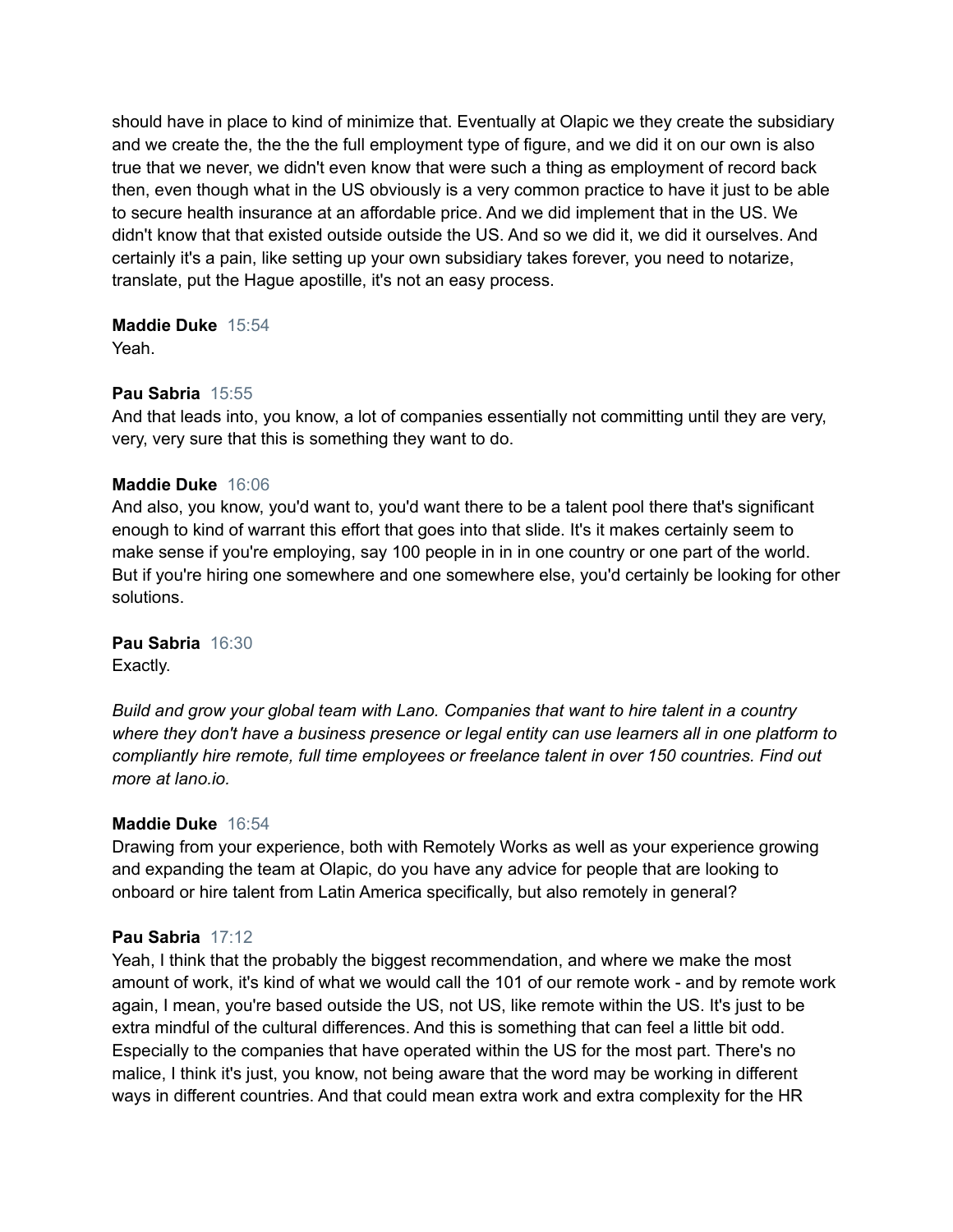should have in place to kind of minimize that. Eventually at Olapic we they create the subsidiary and we create the, the the the full employment type of figure, and we did it on our own is also true that we never, we didn't even know that were such a thing as employment of record back then, even though what in the US obviously is a very common practice to have it just to be able to secure health insurance at an affordable price. And we did implement that in the US. We didn't know that that existed outside outside the US. And so we did it, we did it ourselves. And certainly it's a pain, like setting up your own subsidiary takes forever, you need to notarize, translate, put the Hague apostille, it's not an easy process.

# **Maddie Duke** 15:54

Yeah.

# **Pau Sabria** 15:55

And that leads into, you know, a lot of companies essentially not committing until they are very, very, very sure that this is something they want to do.

# **Maddie Duke** 16:06

And also, you know, you'd want to, you'd want there to be a talent pool there that's significant enough to kind of warrant this effort that goes into that slide. It's it makes certainly seem to make sense if you're employing, say 100 people in in in one country or one part of the world. But if you're hiring one somewhere and one somewhere else, you'd certainly be looking for other solutions.

**Pau Sabria** 16:30

Exactly.

*Build and grow your global team with Lano. Companies that want to hire talent in a country where they don't have a business presence or legal entity can use learners all in one platform to compliantly hire remote, full time employees or freelance talent in over 150 countries. Find out more at lano.io.*

# **Maddie Duke** 16:54

Drawing from your experience, both with Remotely Works as well as your experience growing and expanding the team at Olapic, do you have any advice for people that are looking to onboard or hire talent from Latin America specifically, but also remotely in general?

# **Pau Sabria** 17:12

Yeah, I think that the probably the biggest recommendation, and where we make the most amount of work, it's kind of what we would call the 101 of our remote work - and by remote work again, I mean, you're based outside the US, not US, like remote within the US. It's just to be extra mindful of the cultural differences. And this is something that can feel a little bit odd. Especially to the companies that have operated within the US for the most part. There's no malice, I think it's just, you know, not being aware that the word may be working in different ways in different countries. And that could mean extra work and extra complexity for the HR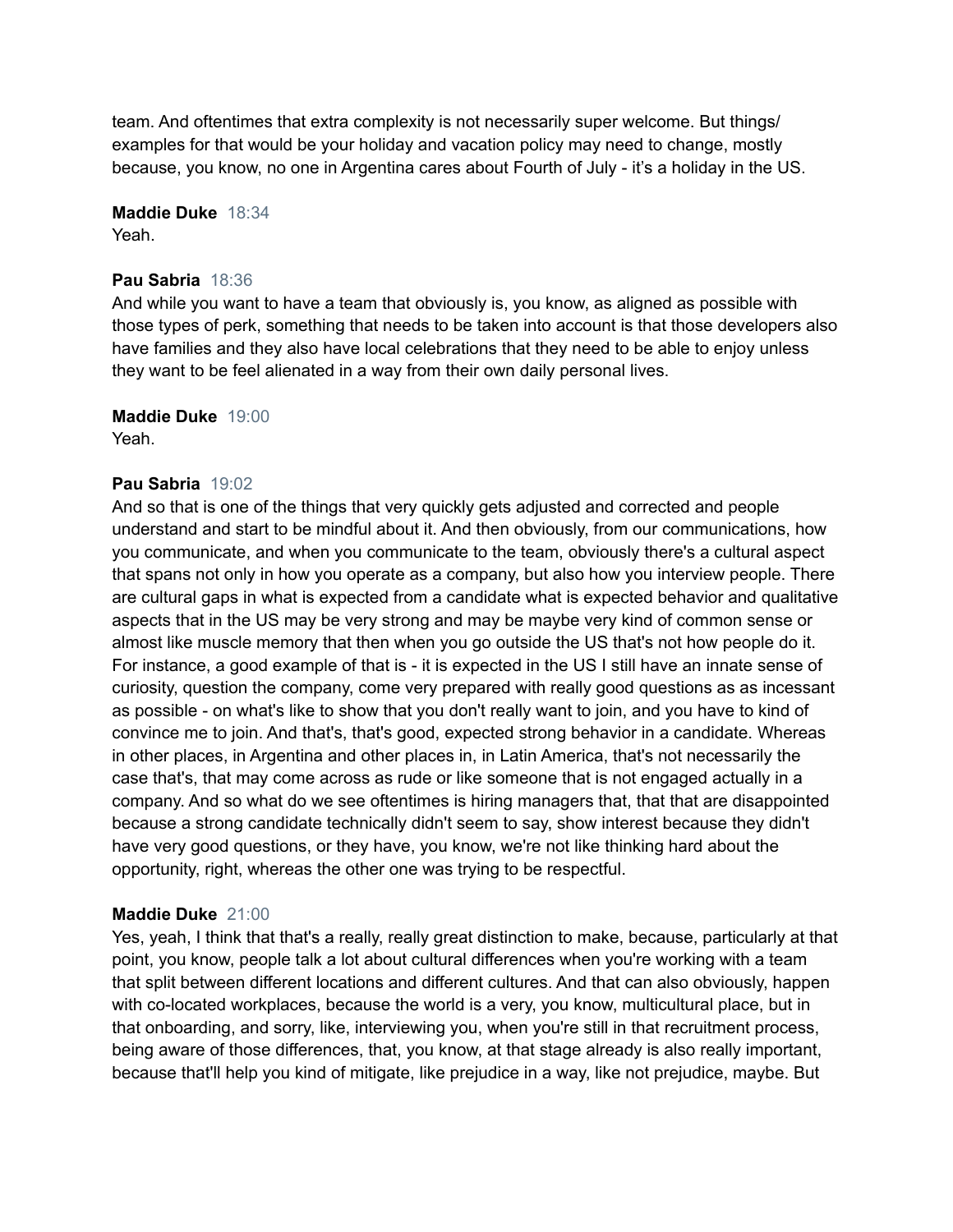team. And oftentimes that extra complexity is not necessarily super welcome. But things/ examples for that would be your holiday and vacation policy may need to change, mostly because, you know, no one in Argentina cares about Fourth of July - it's a holiday in the US.

# **Maddie Duke** 18:34

Yeah.

# **Pau Sabria** 18:36

And while you want to have a team that obviously is, you know, as aligned as possible with those types of perk, something that needs to be taken into account is that those developers also have families and they also have local celebrations that they need to be able to enjoy unless they want to be feel alienated in a way from their own daily personal lives.

# **Maddie Duke** 19:00

Yeah.

# **Pau Sabria** 19:02

And so that is one of the things that very quickly gets adjusted and corrected and people understand and start to be mindful about it. And then obviously, from our communications, how you communicate, and when you communicate to the team, obviously there's a cultural aspect that spans not only in how you operate as a company, but also how you interview people. There are cultural gaps in what is expected from a candidate what is expected behavior and qualitative aspects that in the US may be very strong and may be maybe very kind of common sense or almost like muscle memory that then when you go outside the US that's not how people do it. For instance, a good example of that is - it is expected in the US I still have an innate sense of curiosity, question the company, come very prepared with really good questions as as incessant as possible - on what's like to show that you don't really want to join, and you have to kind of convince me to join. And that's, that's good, expected strong behavior in a candidate. Whereas in other places, in Argentina and other places in, in Latin America, that's not necessarily the case that's, that may come across as rude or like someone that is not engaged actually in a company. And so what do we see oftentimes is hiring managers that, that that are disappointed because a strong candidate technically didn't seem to say, show interest because they didn't have very good questions, or they have, you know, we're not like thinking hard about the opportunity, right, whereas the other one was trying to be respectful.

# **Maddie Duke** 21:00

Yes, yeah, I think that that's a really, really great distinction to make, because, particularly at that point, you know, people talk a lot about cultural differences when you're working with a team that split between different locations and different cultures. And that can also obviously, happen with co-located workplaces, because the world is a very, you know, multicultural place, but in that onboarding, and sorry, like, interviewing you, when you're still in that recruitment process, being aware of those differences, that, you know, at that stage already is also really important, because that'll help you kind of mitigate, like prejudice in a way, like not prejudice, maybe. But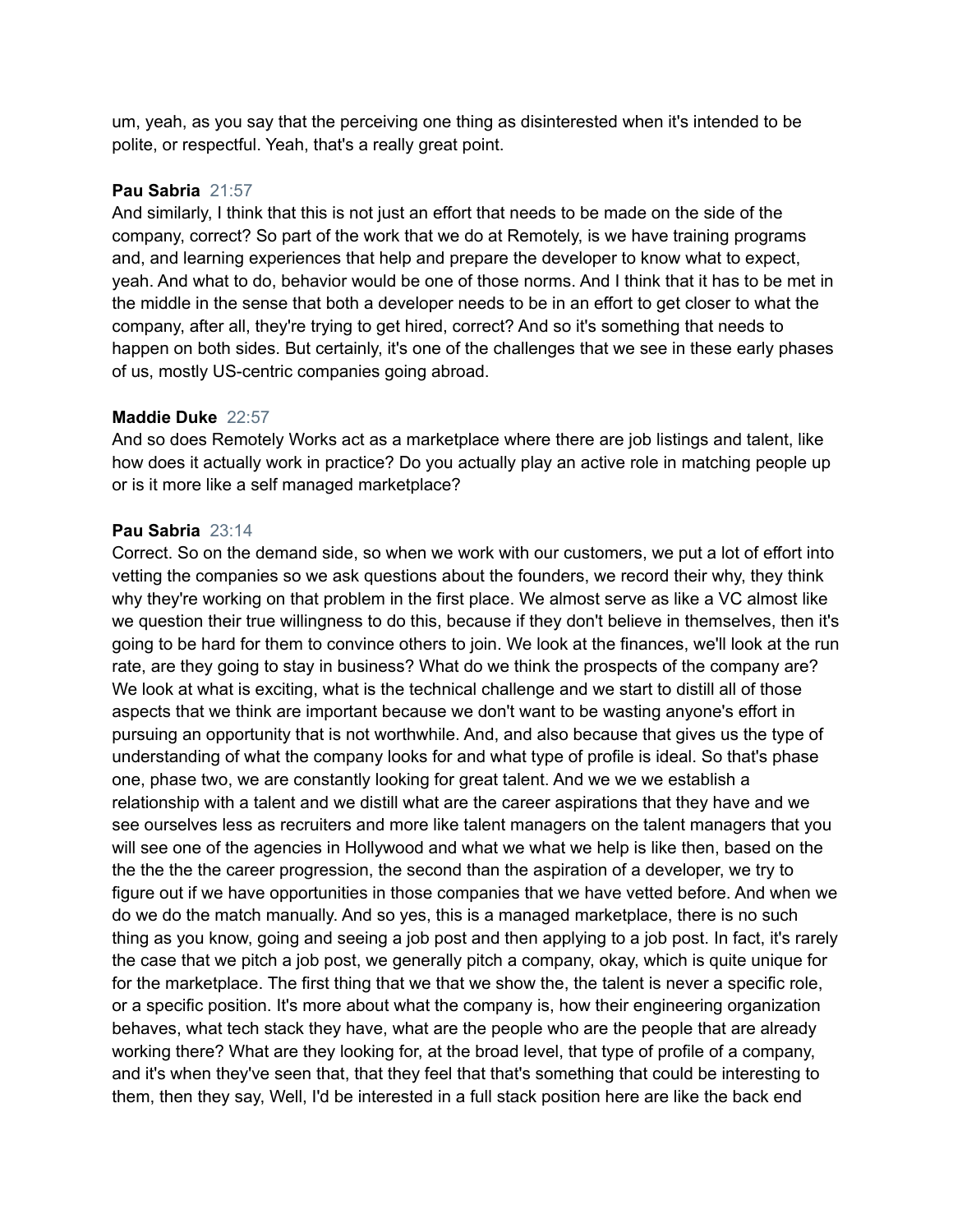um, yeah, as you say that the perceiving one thing as disinterested when it's intended to be polite, or respectful. Yeah, that's a really great point.

# **Pau Sabria** 21:57

And similarly, I think that this is not just an effort that needs to be made on the side of the company, correct? So part of the work that we do at Remotely, is we have training programs and, and learning experiences that help and prepare the developer to know what to expect, yeah. And what to do, behavior would be one of those norms. And I think that it has to be met in the middle in the sense that both a developer needs to be in an effort to get closer to what the company, after all, they're trying to get hired, correct? And so it's something that needs to happen on both sides. But certainly, it's one of the challenges that we see in these early phases of us, mostly US-centric companies going abroad.

#### **Maddie Duke** 22:57

And so does Remotely Works act as a marketplace where there are job listings and talent, like how does it actually work in practice? Do you actually play an active role in matching people up or is it more like a self managed marketplace?

#### **Pau Sabria** 23:14

Correct. So on the demand side, so when we work with our customers, we put a lot of effort into vetting the companies so we ask questions about the founders, we record their why, they think why they're working on that problem in the first place. We almost serve as like a VC almost like we question their true willingness to do this, because if they don't believe in themselves, then it's going to be hard for them to convince others to join. We look at the finances, we'll look at the run rate, are they going to stay in business? What do we think the prospects of the company are? We look at what is exciting, what is the technical challenge and we start to distill all of those aspects that we think are important because we don't want to be wasting anyone's effort in pursuing an opportunity that is not worthwhile. And, and also because that gives us the type of understanding of what the company looks for and what type of profile is ideal. So that's phase one, phase two, we are constantly looking for great talent. And we we we establish a relationship with a talent and we distill what are the career aspirations that they have and we see ourselves less as recruiters and more like talent managers on the talent managers that you will see one of the agencies in Hollywood and what we what we help is like then, based on the the the the the career progression, the second than the aspiration of a developer, we try to figure out if we have opportunities in those companies that we have vetted before. And when we do we do the match manually. And so yes, this is a managed marketplace, there is no such thing as you know, going and seeing a job post and then applying to a job post. In fact, it's rarely the case that we pitch a job post, we generally pitch a company, okay, which is quite unique for for the marketplace. The first thing that we that we show the, the talent is never a specific role, or a specific position. It's more about what the company is, how their engineering organization behaves, what tech stack they have, what are the people who are the people that are already working there? What are they looking for, at the broad level, that type of profile of a company, and it's when they've seen that, that they feel that that's something that could be interesting to them, then they say, Well, I'd be interested in a full stack position here are like the back end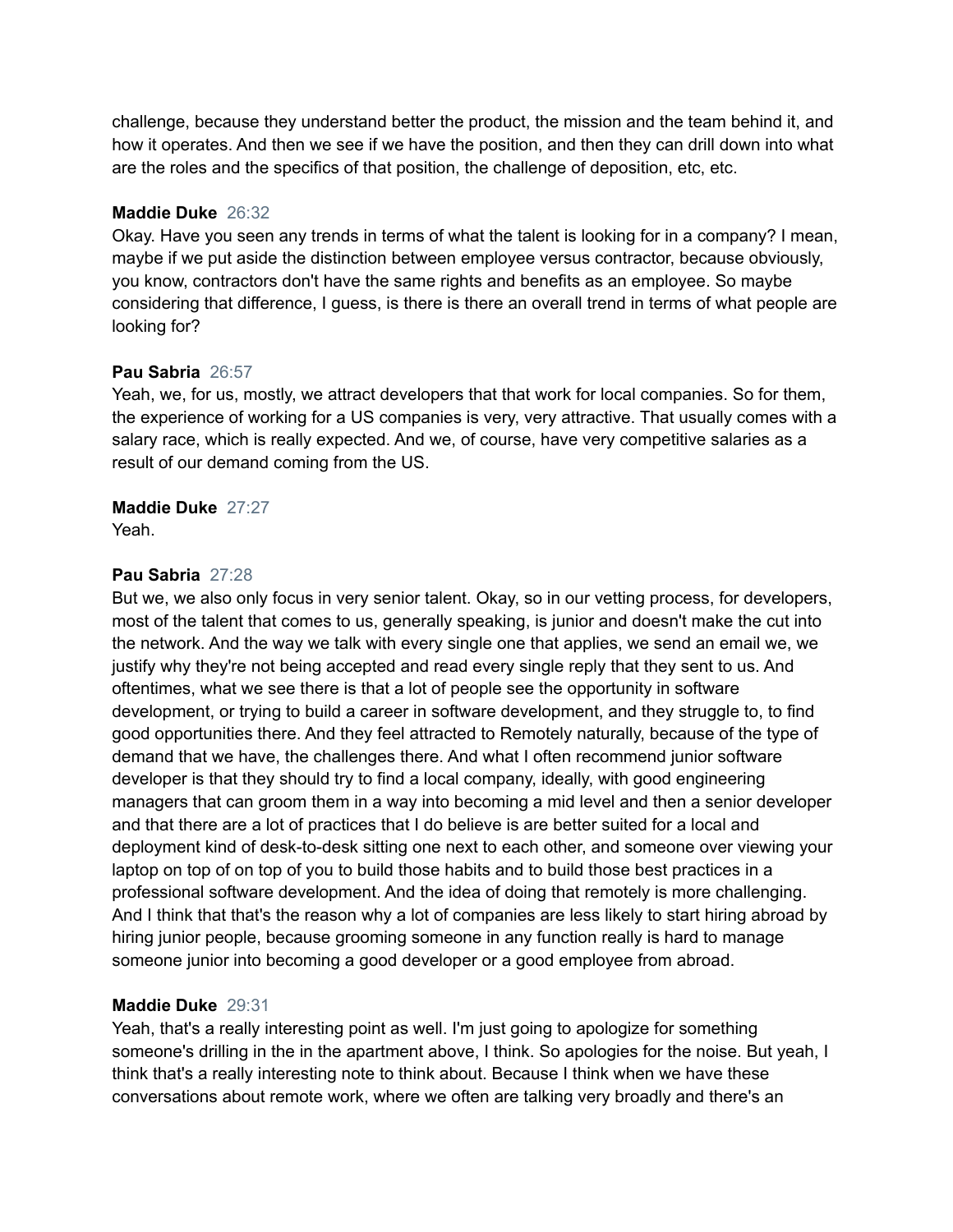challenge, because they understand better the product, the mission and the team behind it, and how it operates. And then we see if we have the position, and then they can drill down into what are the roles and the specifics of that position, the challenge of deposition, etc, etc.

# **Maddie Duke** 26:32

Okay. Have you seen any trends in terms of what the talent is looking for in a company? I mean, maybe if we put aside the distinction between employee versus contractor, because obviously, you know, contractors don't have the same rights and benefits as an employee. So maybe considering that difference, I guess, is there is there an overall trend in terms of what people are looking for?

#### **Pau Sabria** 26:57

Yeah, we, for us, mostly, we attract developers that that work for local companies. So for them, the experience of working for a US companies is very, very attractive. That usually comes with a salary race, which is really expected. And we, of course, have very competitive salaries as a result of our demand coming from the US.

#### **Maddie Duke** 27:27

Yeah.

#### **Pau Sabria** 27:28

But we, we also only focus in very senior talent. Okay, so in our vetting process, for developers, most of the talent that comes to us, generally speaking, is junior and doesn't make the cut into the network. And the way we talk with every single one that applies, we send an email we, we justify why they're not being accepted and read every single reply that they sent to us. And oftentimes, what we see there is that a lot of people see the opportunity in software development, or trying to build a career in software development, and they struggle to, to find good opportunities there. And they feel attracted to Remotely naturally, because of the type of demand that we have, the challenges there. And what I often recommend junior software developer is that they should try to find a local company, ideally, with good engineering managers that can groom them in a way into becoming a mid level and then a senior developer and that there are a lot of practices that I do believe is are better suited for a local and deployment kind of desk-to-desk sitting one next to each other, and someone over viewing your laptop on top of on top of you to build those habits and to build those best practices in a professional software development. And the idea of doing that remotely is more challenging. And I think that that's the reason why a lot of companies are less likely to start hiring abroad by hiring junior people, because grooming someone in any function really is hard to manage someone junior into becoming a good developer or a good employee from abroad.

# **Maddie Duke** 29:31

Yeah, that's a really interesting point as well. I'm just going to apologize for something someone's drilling in the in the apartment above, I think. So apologies for the noise. But yeah, I think that's a really interesting note to think about. Because I think when we have these conversations about remote work, where we often are talking very broadly and there's an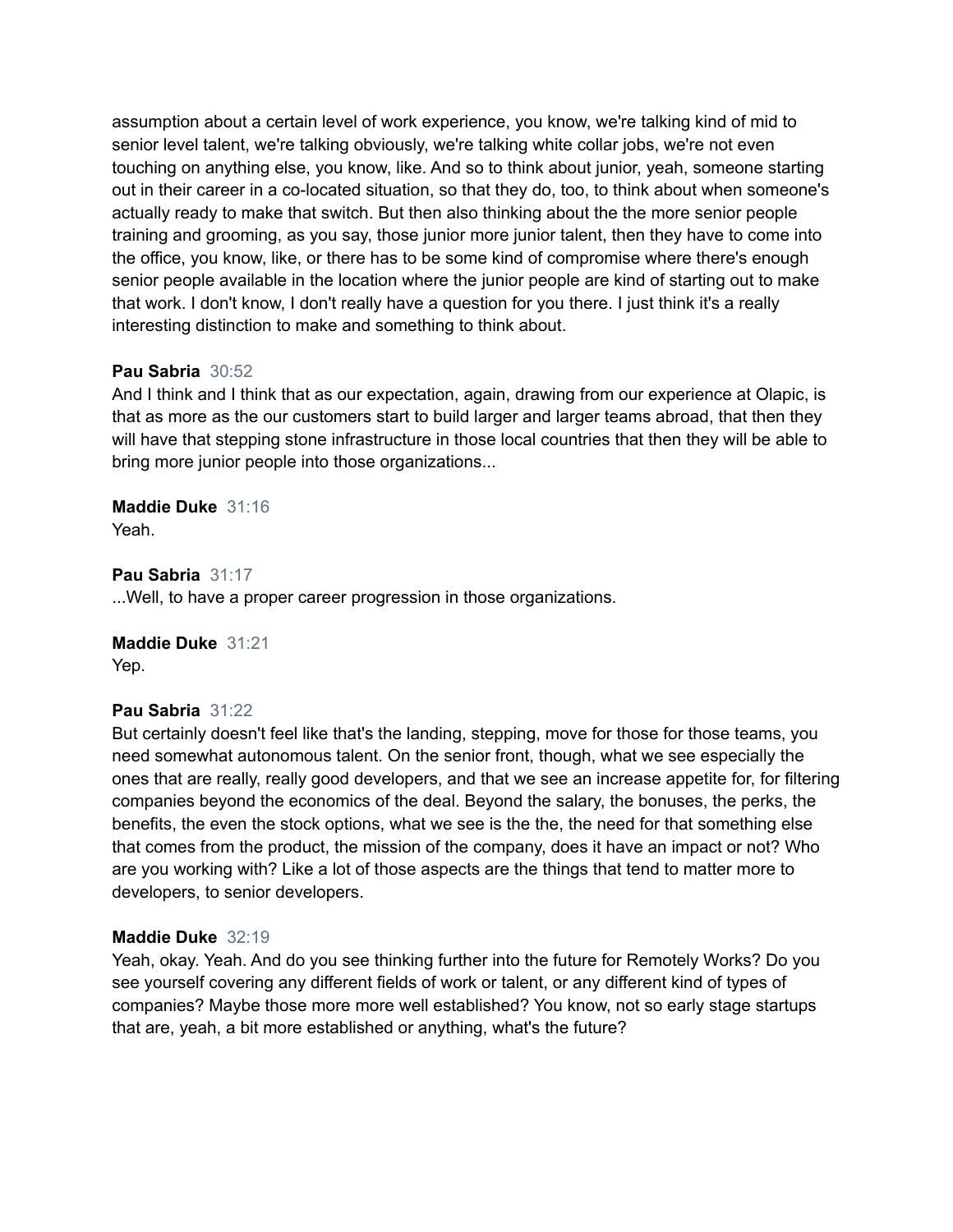assumption about a certain level of work experience, you know, we're talking kind of mid to senior level talent, we're talking obviously, we're talking white collar jobs, we're not even touching on anything else, you know, like. And so to think about junior, yeah, someone starting out in their career in a co-located situation, so that they do, too, to think about when someone's actually ready to make that switch. But then also thinking about the the more senior people training and grooming, as you say, those junior more junior talent, then they have to come into the office, you know, like, or there has to be some kind of compromise where there's enough senior people available in the location where the junior people are kind of starting out to make that work. I don't know, I don't really have a question for you there. I just think it's a really interesting distinction to make and something to think about.

# **Pau Sabria** 30:52

And I think and I think that as our expectation, again, drawing from our experience at Olapic, is that as more as the our customers start to build larger and larger teams abroad, that then they will have that stepping stone infrastructure in those local countries that then they will be able to bring more junior people into those organizations...

# **Maddie Duke** 31:16

Yeah.

#### **Pau Sabria** 31:17

...Well, to have a proper career progression in those organizations.

# **Maddie Duke** 31:21 Yep.

# **Pau Sabria** 31:22

But certainly doesn't feel like that's the landing, stepping, move for those for those teams, you need somewhat autonomous talent. On the senior front, though, what we see especially the ones that are really, really good developers, and that we see an increase appetite for, for filtering companies beyond the economics of the deal. Beyond the salary, the bonuses, the perks, the benefits, the even the stock options, what we see is the the, the need for that something else that comes from the product, the mission of the company, does it have an impact or not? Who are you working with? Like a lot of those aspects are the things that tend to matter more to developers, to senior developers.

#### **Maddie Duke** 32:19

Yeah, okay. Yeah. And do you see thinking further into the future for Remotely Works? Do you see yourself covering any different fields of work or talent, or any different kind of types of companies? Maybe those more more well established? You know, not so early stage startups that are, yeah, a bit more established or anything, what's the future?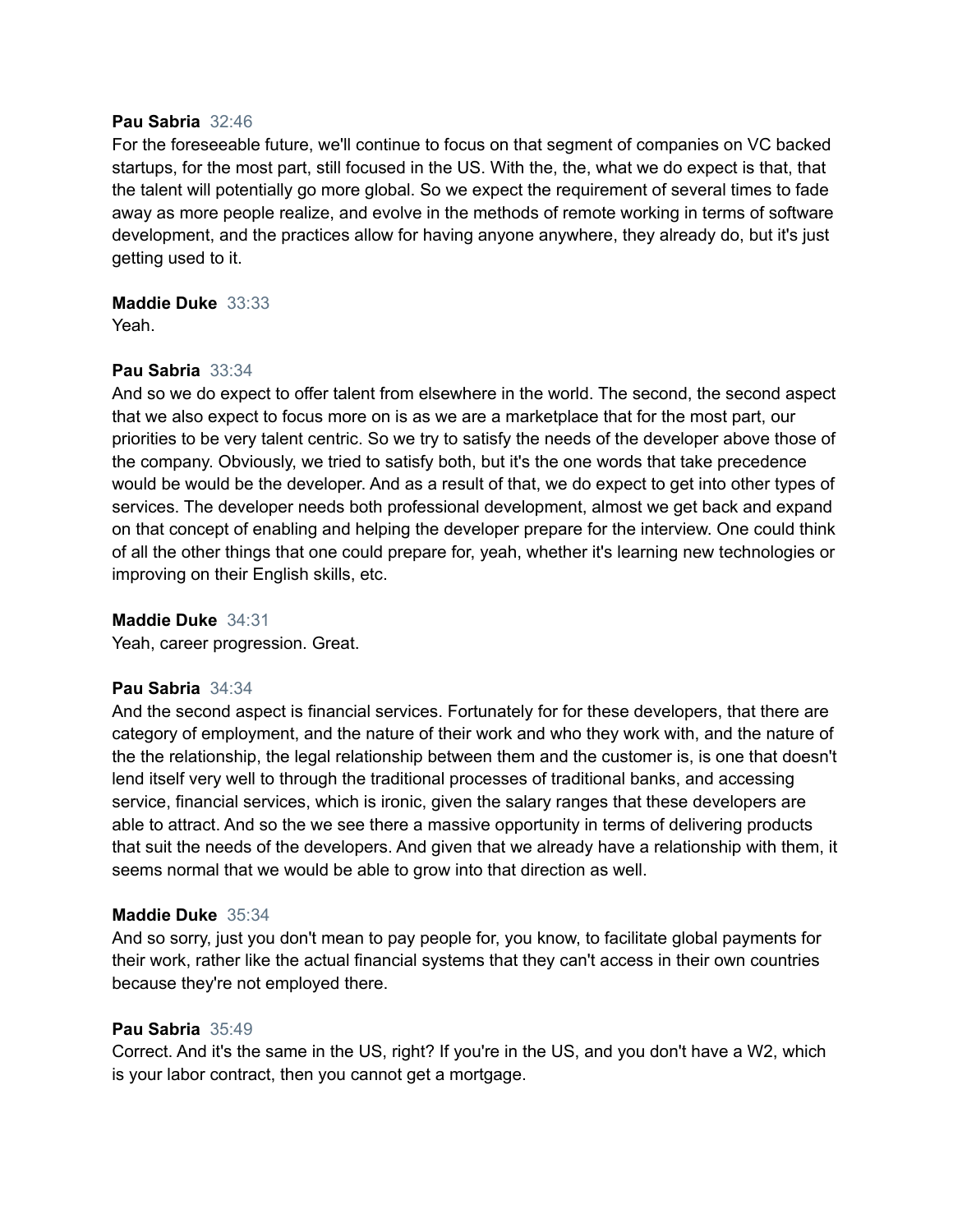#### **Pau Sabria** 32:46

For the foreseeable future, we'll continue to focus on that segment of companies on VC backed startups, for the most part, still focused in the US. With the, the, what we do expect is that, that the talent will potentially go more global. So we expect the requirement of several times to fade away as more people realize, and evolve in the methods of remote working in terms of software development, and the practices allow for having anyone anywhere, they already do, but it's just getting used to it.

**Maddie Duke** 33:33 Yeah.

#### **Pau Sabria** 33:34

And so we do expect to offer talent from elsewhere in the world. The second, the second aspect that we also expect to focus more on is as we are a marketplace that for the most part, our priorities to be very talent centric. So we try to satisfy the needs of the developer above those of the company. Obviously, we tried to satisfy both, but it's the one words that take precedence would be would be the developer. And as a result of that, we do expect to get into other types of services. The developer needs both professional development, almost we get back and expand on that concept of enabling and helping the developer prepare for the interview. One could think of all the other things that one could prepare for, yeah, whether it's learning new technologies or improving on their English skills, etc.

**Maddie Duke** 34:31

Yeah, career progression. Great.

#### **Pau Sabria** 34:34

And the second aspect is financial services. Fortunately for for these developers, that there are category of employment, and the nature of their work and who they work with, and the nature of the the relationship, the legal relationship between them and the customer is, is one that doesn't lend itself very well to through the traditional processes of traditional banks, and accessing service, financial services, which is ironic, given the salary ranges that these developers are able to attract. And so the we see there a massive opportunity in terms of delivering products that suit the needs of the developers. And given that we already have a relationship with them, it seems normal that we would be able to grow into that direction as well.

#### **Maddie Duke** 35:34

And so sorry, just you don't mean to pay people for, you know, to facilitate global payments for their work, rather like the actual financial systems that they can't access in their own countries because they're not employed there.

#### **Pau Sabria** 35:49

Correct. And it's the same in the US, right? If you're in the US, and you don't have a W2, which is your labor contract, then you cannot get a mortgage.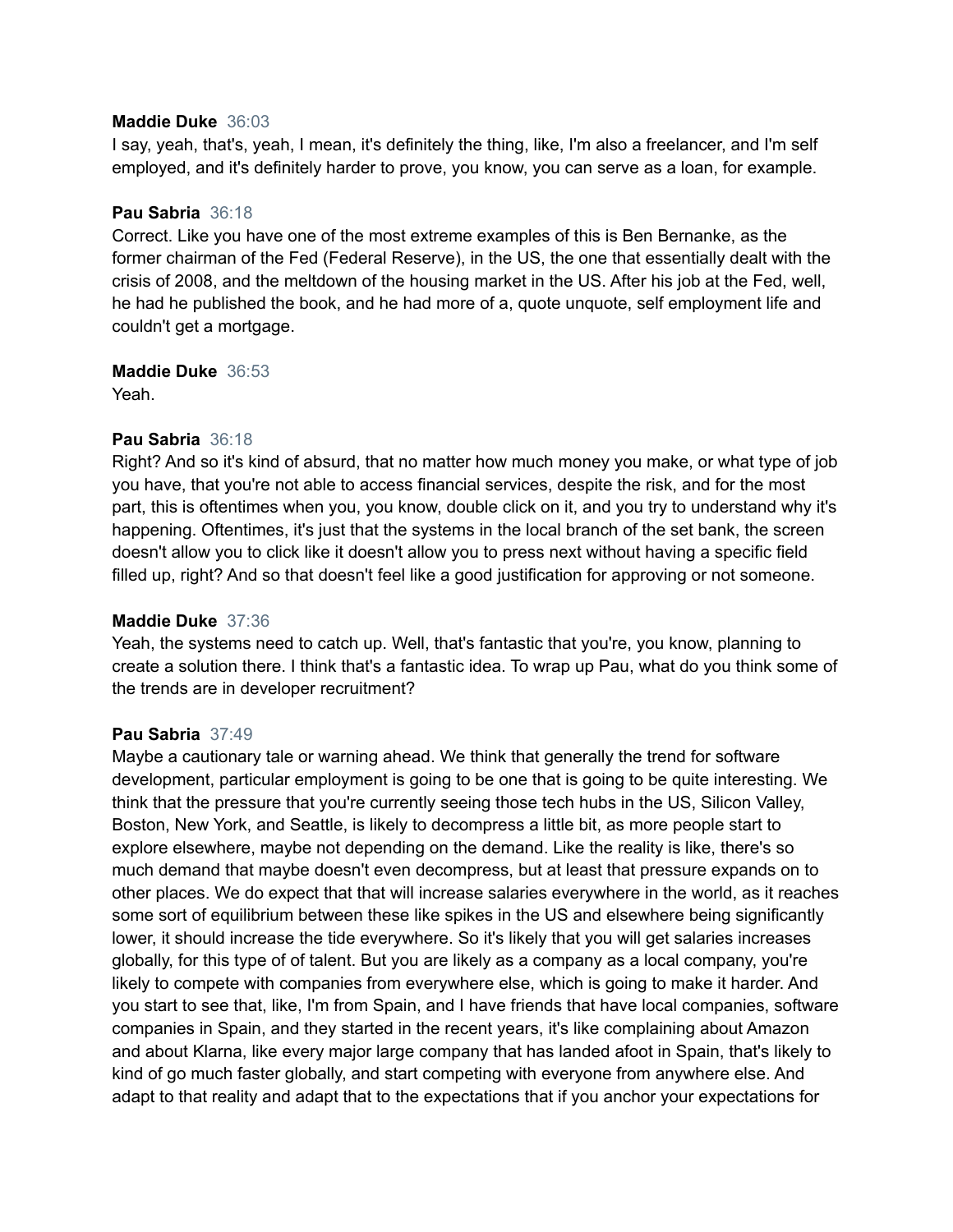#### **Maddie Duke** 36:03

I say, yeah, that's, yeah, I mean, it's definitely the thing, like, I'm also a freelancer, and I'm self employed, and it's definitely harder to prove, you know, you can serve as a loan, for example.

#### **Pau Sabria** 36:18

Correct. Like you have one of the most extreme examples of this is Ben Bernanke, as the former chairman of the Fed (Federal Reserve), in the US, the one that essentially dealt with the crisis of 2008, and the meltdown of the housing market in the US. After his job at the Fed, well, he had he published the book, and he had more of a, quote unquote, self employment life and couldn't get a mortgage.

#### **Maddie Duke** 36:53

Yeah.

# **Pau Sabria** 36:18

Right? And so it's kind of absurd, that no matter how much money you make, or what type of job you have, that you're not able to access financial services, despite the risk, and for the most part, this is oftentimes when you, you know, double click on it, and you try to understand why it's happening. Oftentimes, it's just that the systems in the local branch of the set bank, the screen doesn't allow you to click like it doesn't allow you to press next without having a specific field filled up, right? And so that doesn't feel like a good justification for approving or not someone.

# **Maddie Duke** 37:36

Yeah, the systems need to catch up. Well, that's fantastic that you're, you know, planning to create a solution there. I think that's a fantastic idea. To wrap up Pau, what do you think some of the trends are in developer recruitment?

# **Pau Sabria** 37:49

Maybe a cautionary tale or warning ahead. We think that generally the trend for software development, particular employment is going to be one that is going to be quite interesting. We think that the pressure that you're currently seeing those tech hubs in the US, Silicon Valley, Boston, New York, and Seattle, is likely to decompress a little bit, as more people start to explore elsewhere, maybe not depending on the demand. Like the reality is like, there's so much demand that maybe doesn't even decompress, but at least that pressure expands on to other places. We do expect that that will increase salaries everywhere in the world, as it reaches some sort of equilibrium between these like spikes in the US and elsewhere being significantly lower, it should increase the tide everywhere. So it's likely that you will get salaries increases globally, for this type of of talent. But you are likely as a company as a local company, you're likely to compete with companies from everywhere else, which is going to make it harder. And you start to see that, like, I'm from Spain, and I have friends that have local companies, software companies in Spain, and they started in the recent years, it's like complaining about Amazon and about Klarna, like every major large company that has landed afoot in Spain, that's likely to kind of go much faster globally, and start competing with everyone from anywhere else. And adapt to that reality and adapt that to the expectations that if you anchor your expectations for